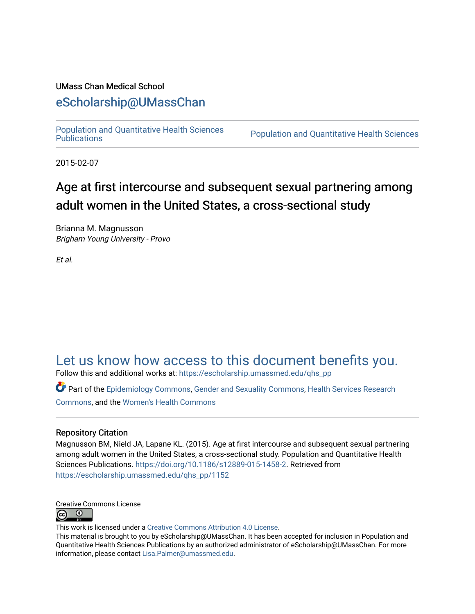# UMass Chan Medical School

# [eScholarship@UMassChan](https://escholarship.umassmed.edu/)

[Population and Quantitative Health Sciences](https://escholarship.umassmed.edu/qhs_pp) 

Population and Quantitative Health Sciences

2015-02-07

# Age at first intercourse and subsequent sexual partnering among adult women in the United States, a cross-sectional study

Brianna M. Magnusson Brigham Young University - Provo

Et al.

# [Let us know how access to this document benefits you.](https://arcsapps.umassmed.edu/redcap/surveys/?s=XWRHNF9EJE)

Follow this and additional works at: [https://escholarship.umassmed.edu/qhs\\_pp](https://escholarship.umassmed.edu/qhs_pp?utm_source=escholarship.umassmed.edu%2Fqhs_pp%2F1152&utm_medium=PDF&utm_campaign=PDFCoverPages) 

Part of the [Epidemiology Commons,](http://network.bepress.com/hgg/discipline/740?utm_source=escholarship.umassmed.edu%2Fqhs_pp%2F1152&utm_medium=PDF&utm_campaign=PDFCoverPages) [Gender and Sexuality Commons](http://network.bepress.com/hgg/discipline/420?utm_source=escholarship.umassmed.edu%2Fqhs_pp%2F1152&utm_medium=PDF&utm_campaign=PDFCoverPages), [Health Services Research](http://network.bepress.com/hgg/discipline/816?utm_source=escholarship.umassmed.edu%2Fqhs_pp%2F1152&utm_medium=PDF&utm_campaign=PDFCoverPages)  [Commons](http://network.bepress.com/hgg/discipline/816?utm_source=escholarship.umassmed.edu%2Fqhs_pp%2F1152&utm_medium=PDF&utm_campaign=PDFCoverPages), and the [Women's Health Commons](http://network.bepress.com/hgg/discipline/1241?utm_source=escholarship.umassmed.edu%2Fqhs_pp%2F1152&utm_medium=PDF&utm_campaign=PDFCoverPages)

# Repository Citation

Magnusson BM, Nield JA, Lapane KL. (2015). Age at first intercourse and subsequent sexual partnering among adult women in the United States, a cross-sectional study. Population and Quantitative Health Sciences Publications. <https://doi.org/10.1186/s12889-015-1458-2>. Retrieved from [https://escholarship.umassmed.edu/qhs\\_pp/1152](https://escholarship.umassmed.edu/qhs_pp/1152?utm_source=escholarship.umassmed.edu%2Fqhs_pp%2F1152&utm_medium=PDF&utm_campaign=PDFCoverPages)



This work is licensed under a [Creative Commons Attribution 4.0 License](http://creativecommons.org/licenses/by/4.0/).

This material is brought to you by eScholarship@UMassChan. It has been accepted for inclusion in Population and Quantitative Health Sciences Publications by an authorized administrator of eScholarship@UMassChan. For more information, please contact [Lisa.Palmer@umassmed.edu.](mailto:Lisa.Palmer@umassmed.edu)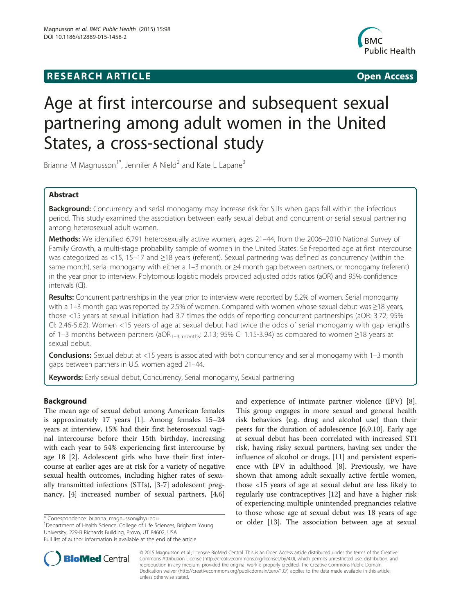# **RESEARCH ARTICLE Example 2014 12:30 The SEAR CHIPS 2014 12:30 The Open Access**



# Age at first intercourse and subsequent sexual partnering among adult women in the United States, a cross-sectional study

Brianna M Magnusson<sup>1\*</sup>, Jennifer A Nield<sup>2</sup> and Kate L Lapane<sup>3</sup>

# Abstract

Background: Concurrency and serial monogamy may increase risk for STIs when gaps fall within the infectious period. This study examined the association between early sexual debut and concurrent or serial sexual partnering among heterosexual adult women.

Methods: We identified 6,791 heterosexually active women, ages 21-44, from the 2006-2010 National Survey of Family Growth, a multi-stage probability sample of women in the United States. Self-reported age at first intercourse was categorized as <15, 15–17 and ≥18 years (referent). Sexual partnering was defined as concurrency (within the same month), serial monogamy with either a 1–3 month, or ≥4 month gap between partners, or monogamy (referent) in the year prior to interview. Polytomous logistic models provided adjusted odds ratios (aOR) and 95% confidence intervals (CI).

Results: Concurrent partnerships in the year prior to interview were reported by 5.2% of women. Serial monogamy with a 1–3 month gap was reported by 2.5% of women. Compared with women whose sexual debut was ≥18 years, those <15 years at sexual initiation had 3.7 times the odds of reporting concurrent partnerships (aOR: 3.72; 95% CI: 2.46-5.62). Women <15 years of age at sexual debut had twice the odds of serial monogamy with gap lengths of 1–3 months between partners (aOR<sub>1–3 months</sub>: 2.13; 95% CI 1.15-3.94) as compared to women ≥18 years at sexual debut.

Conclusions: Sexual debut at <15 years is associated with both concurrency and serial monogamy with 1–3 month gaps between partners in U.S. women aged 21–44.

Keywords: Early sexual debut, Concurrency, Serial monogamy, Sexual partnering

# Background

The mean age of sexual debut among American females is approximately 17 years [[1\]](#page-8-0). Among females 15–24 years at interview, 15% had their first heterosexual vaginal intercourse before their 15th birthday, increasing with each year to 54% experiencing first intercourse by age 18 [\[2](#page-8-0)]. Adolescent girls who have their first intercourse at earlier ages are at risk for a variety of negative sexual health outcomes, including higher rates of sexually transmitted infections (STIs), [\[3](#page-8-0)-[7\]](#page-8-0) adolescent pregnancy, [[4](#page-8-0)] increased number of sexual partners, [\[4,6](#page-8-0)]

<sup>1</sup>Department of Health Science, College of Life Sciences, Brigham Young University, 229-B Richards Building, Provo, UT 84602, USA

and experience of intimate partner violence (IPV) [\[8](#page-8-0)]. This group engages in more sexual and general health risk behaviors (e.g. drug and alcohol use) than their peers for the duration of adolescence [[6,9,10\]](#page-8-0). Early age at sexual debut has been correlated with increased STI risk, having risky sexual partners, having sex under the influence of alcohol or drugs, [[11](#page-8-0)] and persistent experience with IPV in adulthood [[8\]](#page-8-0). Previously, we have shown that among adult sexually active fertile women, those <15 years of age at sexual debut are less likely to regularly use contraceptives [\[12](#page-8-0)] and have a higher risk of experiencing multiple unintended pregnancies relative to those whose age at sexual debut was 18 years of age \* Correspondence: [brianna\\_magnusson@byu.edu](mailto:brianna_magnusson@byu.edu)<br><sup>1</sup>Department of Health Science College of Life Sciences Brigham Young **or older** [[13\]](#page-8-0). The association between age at sexual



© 2015 Magnusson et al.; licensee BioMed Central. This is an Open Access article distributed under the terms of the Creative Commons Attribution License [\(http://creativecommons.org/licenses/by/4.0\)](http://creativecommons.org/licenses/by/4.0), which permits unrestricted use, distribution, and reproduction in any medium, provided the original work is properly credited. The Creative Commons Public Domain Dedication waiver [\(http://creativecommons.org/publicdomain/zero/1.0/](http://creativecommons.org/publicdomain/zero/1.0/)) applies to the data made available in this article, unless otherwise stated.

Full list of author information is available at the end of the article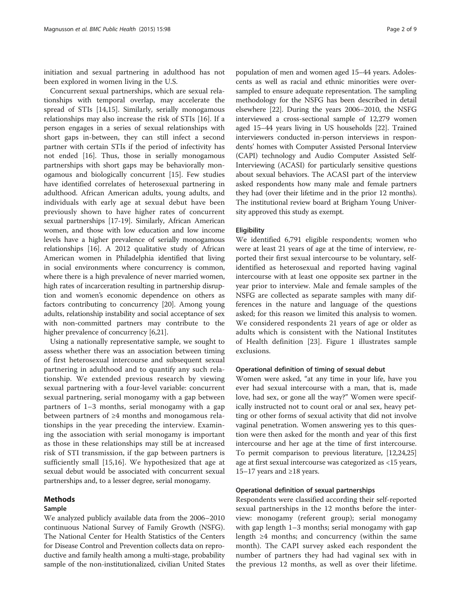initiation and sexual partnering in adulthood has not been explored in women living in the U.S.

Concurrent sexual partnerships, which are sexual relationships with temporal overlap, may accelerate the spread of STIs [\[14,15](#page-8-0)]. Similarly, serially monogamous relationships may also increase the risk of STIs [\[16](#page-8-0)]. If a person engages in a series of sexual relationships with short gaps in-between, they can still infect a second partner with certain STIs if the period of infectivity has not ended [[16\]](#page-8-0). Thus, those in serially monogamous partnerships with short gaps may be behaviorally monogamous and biologically concurrent [\[15](#page-8-0)]. Few studies have identified correlates of heterosexual partnering in adulthood. African American adults, young adults, and individuals with early age at sexual debut have been previously shown to have higher rates of concurrent sexual partnerships [\[17-19\]](#page-8-0). Similarly, African American women, and those with low education and low income levels have a higher prevalence of serially monogamous relationships [\[16\]](#page-8-0). A 2012 qualitative study of African American women in Philadelphia identified that living in social environments where concurrency is common, where there is a high prevalence of never married women, high rates of incarceration resulting in partnership disruption and women's economic dependence on others as factors contributing to concurrency [\[20\]](#page-8-0). Among young adults, relationship instability and social acceptance of sex with non-committed partners may contribute to the higher prevalence of concurrency [[6,21](#page-8-0)].

Using a nationally representative sample, we sought to assess whether there was an association between timing of first heterosexual intercourse and subsequent sexual partnering in adulthood and to quantify any such relationship. We extended previous research by viewing sexual partnering with a four-level variable: concurrent sexual partnering, serial monogamy with a gap between partners of 1–3 months, serial monogamy with a gap between partners of ≥4 months and monogamous relationships in the year preceding the interview. Examining the association with serial monogamy is important as those in these relationships may still be at increased risk of STI transmission, if the gap between partners is sufficiently small [\[15,16\]](#page-8-0). We hypothesized that age at sexual debut would be associated with concurrent sexual partnerships and, to a lesser degree, serial monogamy.

# Methods

## Sample

We analyzed publicly available data from the 2006–2010 continuous National Survey of Family Growth (NSFG). The National Center for Health Statistics of the Centers for Disease Control and Prevention collects data on reproductive and family health among a multi-stage, probability sample of the non-institutionalized, civilian United States

population of men and women aged 15–44 years. Adolescents as well as racial and ethnic minorities were oversampled to ensure adequate representation. The sampling methodology for the NSFG has been described in detail elsewhere [\[22](#page-8-0)]. During the years 2006–2010, the NSFG interviewed a cross-sectional sample of 12,279 women aged 15–44 years living in US households [[22](#page-8-0)]. Trained interviewers conducted in-person interviews in respondents' homes with Computer Assisted Personal Interview (CAPI) technology and Audio Computer Assisted Self-Interviewing (ACASI) for particularly sensitive questions about sexual behaviors. The ACASI part of the interview asked respondents how many male and female partners they had (over their lifetime and in the prior 12 months). The institutional review board at Brigham Young University approved this study as exempt.

### **Eligibility**

We identified 6,791 eligible respondents; women who were at least 21 years of age at the time of interview, reported their first sexual intercourse to be voluntary, selfidentified as heterosexual and reported having vaginal intercourse with at least one opposite sex partner in the year prior to interview. Male and female samples of the NSFG are collected as separate samples with many differences in the nature and language of the questions asked; for this reason we limited this analysis to women. We considered respondents 21 years of age or older as adults which is consistent with the National Institutes of Health definition [[23\]](#page-8-0). Figure [1](#page-3-0) illustrates sample exclusions.

## Operational definition of timing of sexual debut

Women were asked, "at any time in your life, have you ever had sexual intercourse with a man, that is, made love, had sex, or gone all the way?" Women were specifically instructed not to count oral or anal sex, heavy petting or other forms of sexual activity that did not involve vaginal penetration. Women answering yes to this question were then asked for the month and year of this first intercourse and her age at the time of first intercourse. To permit comparison to previous literature, [\[12,24,25](#page-8-0)] age at first sexual intercourse was categorized as <15 years, 15–17 years and ≥18 years.

## Operational definition of sexual partnerships

Respondents were classified according their self-reported sexual partnerships in the 12 months before the interview: monogamy (referent group); serial monogamy with gap length 1–3 months; serial monogamy with gap length ≥4 months; and concurrency (within the same month). The CAPI survey asked each respondent the number of partners they had had vaginal sex with in the previous 12 months, as well as over their lifetime.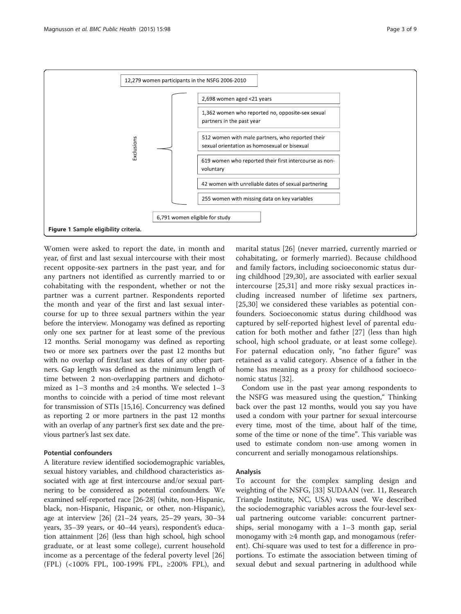<span id="page-3-0"></span>

Women were asked to report the date, in month and year, of first and last sexual intercourse with their most recent opposite-sex partners in the past year, and for any partners not identified as currently married to or cohabitating with the respondent, whether or not the partner was a current partner. Respondents reported the month and year of the first and last sexual intercourse for up to three sexual partners within the year before the interview. Monogamy was defined as reporting only one sex partner for at least some of the previous 12 months. Serial monogamy was defined as reporting two or more sex partners over the past 12 months but with no overlap of first/last sex dates of any other partners. Gap length was defined as the minimum length of time between 2 non-overlapping partners and dichotomized as 1–3 months and ≥4 months. We selected 1–3 months to coincide with a period of time most relevant for transmission of STIs [\[15,16\]](#page-8-0). Concurrency was defined as reporting 2 or more partners in the past 12 months with an overlap of any partner's first sex date and the previous partner's last sex date.

## Potential confounders

A literature review identified sociodemographic variables, sexual history variables, and childhood characteristics associated with age at first intercourse and/or sexual partnering to be considered as potential confounders. We examined self-reported race [\[26-28\]](#page-8-0) (white, non-Hispanic, black, non-Hispanic, Hispanic, or other, non-Hispanic), age at interview [\[26\]](#page-8-0) (21–24 years, 25–29 years, 30–34 years, 35–39 years, or 40–44 years), respondent's education attainment [[26](#page-8-0)] (less than high school, high school graduate, or at least some college), current household income as a percentage of the federal poverty level [\[26](#page-8-0)] (FPL) (<100% FPL, 100-199% FPL, ≥200% FPL), and

marital status [\[26](#page-8-0)] (never married, currently married or cohabitating, or formerly married). Because childhood and family factors, including socioeconomic status during childhood [\[29,30](#page-8-0)], are associated with earlier sexual intercourse [[25,31\]](#page-8-0) and more risky sexual practices including increased number of lifetime sex partners, [[25,30](#page-8-0)] we considered these variables as potential confounders. Socioeconomic status during childhood was captured by self-reported highest level of parental education for both mother and father [\[27](#page-8-0)] (less than high school, high school graduate, or at least some college). For paternal education only, "no father figure" was retained as a valid category. Absence of a father in the home has meaning as a proxy for childhood socioeconomic status [\[32](#page-8-0)].

Condom use in the past year among respondents to the NSFG was measured using the question," Thinking back over the past 12 months, would you say you have used a condom with your partner for sexual intercourse every time, most of the time, about half of the time, some of the time or none of the time". This variable was used to estimate condom non-use among women in concurrent and serially monogamous relationships.

#### Analysis

To account for the complex sampling design and weighting of the NSFG, [\[33\]](#page-8-0) SUDAAN (ver. 11, Research Triangle Institute, NC, USA) was used. We described the sociodemographic variables across the four-level sexual partnering outcome variable: concurrent partnerships, serial monogamy with a 1–3 month gap, serial monogamy with ≥4 month gap, and monogamous (referent). Chi-square was used to test for a difference in proportions. To estimate the association between timing of sexual debut and sexual partnering in adulthood while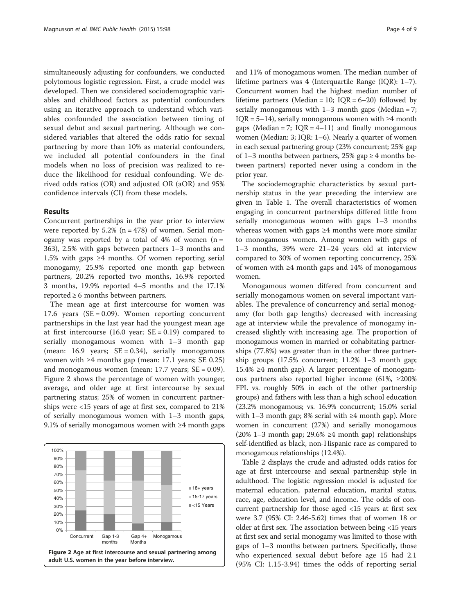simultaneously adjusting for confounders, we conducted polytomous logistic regression. First, a crude model was developed. Then we considered sociodemographic variables and childhood factors as potential confounders using an iterative approach to understand which variables confounded the association between timing of sexual debut and sexual partnering. Although we considered variables that altered the odds ratio for sexual partnering by more than 10% as material confounders, we included all potential confounders in the final models when no loss of precision was realized to reduce the likelihood for residual confounding. We derived odds ratios (OR) and adjusted OR (aOR) and 95% confidence intervals (CI) from these models.

### Results

Concurrent partnerships in the year prior to interview were reported by  $5.2\%$  (n = 478) of women. Serial monogamy was reported by a total of  $4\%$  of women (n = 363), 2.5% with gaps between partners 1–3 months and 1.5% with gaps ≥4 months. Of women reporting serial monogamy, 25.9% reported one month gap between partners, 20.2% reported two months, 16.9% reported 3 months, 19.9% reported 4–5 months and the 17.1% reported ≥ 6 months between partners.

The mean age at first intercourse for women was 17.6 years ( $SE = 0.09$ ). Women reporting concurrent partnerships in the last year had the youngest mean age at first intercourse  $(16.0 \text{ year}; \text{ SE} = 0.19)$  compared to serially monogamous women with 1–3 month gap (mean: 16.9 years;  $SE = 0.34$ ), serially monogamous women with  $\geq 4$  months gap (mean: 17.1 years; SE 0.25) and monogamous women (mean:  $17.7$  years;  $SE = 0.09$ ). Figure 2 shows the percentage of women with younger, average, and older age at first intercourse by sexual partnering status; 25% of women in concurrent partnerships were <15 years of age at first sex, compared to 21% of serially monogamous women with 1–3 month gaps, 9.1% of serially monogamous women with ≥4 month gaps



and 11% of monogamous women. The median number of lifetime partners was 4 (Interquartile Range (IQR): 1–7). Concurrent women had the highest median number of lifetime partners (Median = 10;  $IQR = 6-20$ ) followed by serially monogamous with  $1-3$  month gaps (Median = 7; IQR = 5–14), serially monogamous women with  $\geq 4$  month gaps (Median = 7;  $IQR = 4-11$ ) and finally monogamous women (Median: 3; IQR: 1–6). Nearly a quarter of women in each sexual partnering group (23% concurrent; 25% gap of 1–3 months between partners, 25% gap  $\geq$  4 months between partners) reported never using a condom in the prior year.

The sociodemographic characteristics by sexual partnership status in the year preceding the interview are given in Table [1.](#page-5-0) The overall characteristics of women engaging in concurrent partnerships differed little from serially monogamous women with gaps 1–3 months whereas women with gaps ≥4 months were more similar to monogamous women. Among women with gaps of 1–3 months, 39% were 21–24 years old at interview compared to 30% of women reporting concurrency, 25% of women with ≥4 month gaps and 14% of monogamous women.

Monogamous women differed from concurrent and serially monogamous women on several important variables. The prevalence of concurrency and serial monogamy (for both gap lengths) decreased with increasing age at interview while the prevalence of monogamy increased slightly with increasing age. The proportion of monogamous women in married or cohabitating partnerships (77.8%) was greater than in the other three partnership groups (17.5% concurrent; 11.2% 1–3 month gap; 15.4% ≥4 month gap). A larger percentage of monogamous partners also reported higher income (61%, ≥200% FPL vs. roughly 50% in each of the other partnership groups) and fathers with less than a high school education (23.2% monogamous; vs. 16.9% concurrent; 15.0% serial with 1–3 month gap; 8% serial with ≥4 month gap). More women in concurrent (27%) and serially monogamous (20% 1–3 month gap; 29.6% ≥4 month gap) relationships self-identified as black, non-Hispanic race as compared to monogamous relationships (12.4%).

Table [2](#page-6-0) displays the crude and adjusted odds ratios for age at first intercourse and sexual partnership style in adulthood. The logistic regression model is adjusted for maternal education, paternal education, marital status, race, age, education level, and income. The odds of concurrent partnership for those aged <15 years at first sex were 3.7 (95% CI: 2.46-5.62) times that of women 18 or older at first sex. The association between being <15 years at first sex and serial monogamy was limited to those with gaps of 1–3 months between partners. Specifically, those who experienced sexual debut before age 15 had 2.1 (95% CI: 1.15-3.94) times the odds of reporting serial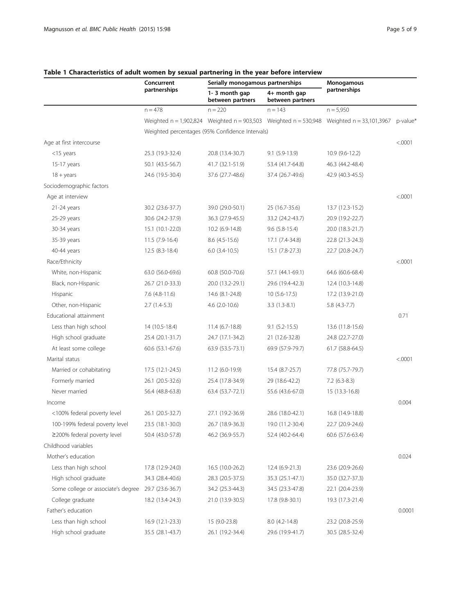|                                    | Concurrent                                      | Serially monogamous partnerships  |                                  | Monogamous                                                                                         |         |
|------------------------------------|-------------------------------------------------|-----------------------------------|----------------------------------|----------------------------------------------------------------------------------------------------|---------|
|                                    | partnerships                                    | 1-3 month gap<br>between partners | 4+ month gap<br>between partners | partnerships                                                                                       |         |
|                                    | $n = 478$                                       | $n = 220$                         | $n = 143$                        | $n = 5,950$                                                                                        |         |
|                                    |                                                 |                                   |                                  | Weighted n = 1,902,824 Weighted n = 903,503 Weighted n = 530,948 Weighted n = 33,101,3967 p-value* |         |
|                                    | Weighted percentages (95% Confidence Intervals) |                                   |                                  |                                                                                                    |         |
| Age at first intercourse           |                                                 |                                   |                                  |                                                                                                    | < .0001 |
| <15 years                          | 25.3 (19.3-32.4)                                | 20.8 (13.4-30.7)                  | $9.1(5.9-13.9)$                  | 10.9 (9.6-12.2)                                                                                    |         |
| 15-17 years                        | 50.1 (43.5-56.7)                                | 41.7 (32.1-51.9)                  | 53.4 (41.7-64.8)                 | 46.3 (44.2-48.4)                                                                                   |         |
| $18 + \text{years}$                | 24.6 (19.5-30.4)                                | 37.6 (27.7-48.6)                  | 37.4 (26.7-49.6)                 | 42.9 (40.3-45.5)                                                                                   |         |
| Sociodemographic factors           |                                                 |                                   |                                  |                                                                                                    |         |
| Age at interview                   |                                                 |                                   |                                  |                                                                                                    | < .0001 |
| $21-24$ years                      | 30.2 (23.6-37.7)                                | 39.0 (29.0-50.1)                  | 25 (16.7-35.6)                   | 13.7 (12.3-15.2)                                                                                   |         |
| 25-29 years                        | 30.6 (24.2-37.9)                                | 36.3 (27.9-45.5)                  | 33.2 (24.2-43.7)                 | 20.9 (19.2-22.7)                                                                                   |         |
| 30-34 years                        | 15.1 (10.1-22.0)                                | 10.2 (6.9-14.8)                   | $9.6$ $(5.8-15.4)$               | 20.0 (18.3-21.7)                                                                                   |         |
| 35-39 years                        | $11.5(7.9-16.4)$                                | $8.6$ (4.5-15.6)                  | 17.1 (7.4-34.8)                  | 22.8 (21.3-24.3)                                                                                   |         |
| 40-44 years                        | 12.5 (8.3-18.4)                                 | $6.0$ $(3.4-10.5)$                | 15.1 (7.8-27.3)                  | 22.7 (20.8-24.7)                                                                                   |         |
| Race/Ethnicity                     |                                                 |                                   |                                  |                                                                                                    | < .0001 |
| White, non-Hispanic                | 63.0 (56.0-69.6)                                | 60.8 (50.0-70.6)                  | 57.1 (44.1-69.1)                 | 64.6 (60.6-68.4)                                                                                   |         |
| Black, non-Hispanic                | 26.7 (21.0-33.3)                                | 20.0 (13.2-29.1)                  | 29.6 (19.4-42.3)                 | 12.4 (10.3-14.8)                                                                                   |         |
| Hispanic                           | $7.6$ $(4.8-11.6)$                              | 14.6 (8.1-24.8)                   | $10(5.6-17.5)$                   | 17.2 (13.9-21.0)                                                                                   |         |
| Other, non-Hispanic                | $2.7(1.4-5.3)$                                  | $4.6$ (2.0-10.6)                  | $3.3(1.3-8.1)$                   | $5.8(4.3-7.7)$                                                                                     |         |
| Educational attainment             |                                                 |                                   |                                  |                                                                                                    | 0.71    |
| Less than high school              | 14 (10.5-18.4)                                  | $11.4(6.7-18.8)$                  | $9.1 (5.2 - 15.5)$               | 13.6 (11.8-15.6)                                                                                   |         |
| High school graduate               | 25.4 (20.1-31.7)                                | 24.7 (17.1-34.2)                  | 21 (12.6-32.8)                   | 24.8 (22.7-27.0)                                                                                   |         |
| At least some college              | 60.6 (53.1-67.6)                                | 63.9 (53.5-73.1)                  | 69.9 (57.9-79.7)                 | 61.7 (58.8-64.5)                                                                                   |         |
| Marital status                     |                                                 |                                   |                                  |                                                                                                    | < .0001 |
| Married or cohabitating            | 17.5 (12.1-24.5)                                | 11.2 (6.0-19.9)                   | 15.4 (8.7-25.7)                  | 77.8 (75.7-79.7)                                                                                   |         |
| Formerly married                   | 26.1 (20.5-32.6)                                | 25.4 (17.8-34.9)                  | 29 (18.6-42.2)                   | $7.2(6.3-8.3)$                                                                                     |         |
| Never married                      | 56.4 (48.8-63.8)                                | 63.4 (53.7-72.1)                  | 55.6 (43.6-67.0)                 | 15 (13.3-16.8)                                                                                     |         |
| Income                             |                                                 |                                   |                                  |                                                                                                    | 0.004   |
| <100% federal poverty level        | 26.1 (20.5-32.7)                                | 27.1 (19.2-36.9)                  | 28.6 (18.0-42.1)                 | 16.8 (14.9-18.8)                                                                                   |         |
| 100-199% federal poverty level     | 23.5 (18.1-30.0)                                | 26.7 (18.9-36.3)                  | 19.0 (11.2-30.4)                 | 22.7 (20.9-24.6)                                                                                   |         |
| $\geq$ 200% federal poverty level  | 50.4 (43.0-57.8)                                | 46.2 (36.9-55.7)                  | 52.4 (40.2-64.4)                 | 60.6 (57.6-63.4)                                                                                   |         |
| Childhood variables                |                                                 |                                   |                                  |                                                                                                    |         |
| Mother's education                 |                                                 |                                   |                                  |                                                                                                    | 0.024   |
| Less than high school              | 17.8 (12.9-24.0)                                | 16.5 (10.0-26.2)                  | 12.4 (6.9-21.3)                  | 23.6 (20.9-26.6)                                                                                   |         |
| High school graduate               | 34.3 (28.4-40.6)                                | 28.3 (20.5-37.5)                  | 35.3 (25.1-47.1)                 | 35.0 (32.7-37.3)                                                                                   |         |
| Some college or associate's degree | 29.7 (23.6-36.7)                                | 34.2 (25.3-44.3)                  | 34.5 (23.3-47.8)                 | 22.1 (20.4-23.9)                                                                                   |         |
| College graduate                   | 18.2 (13.4-24.3)                                | 21.0 (13.9-30.5)                  | 17.8 (9.8-30.1)                  | 19.3 (17.3-21.4)                                                                                   |         |
| Father's education                 |                                                 |                                   |                                  |                                                                                                    | 0.0001  |
| Less than high school              | 16.9 (12.1-23.3)                                | 15 (9.0-23.8)                     | 8.0 (4.2-14.8)                   | 23.2 (20.8-25.9)                                                                                   |         |
| High school graduate               | 35.5 (28.1-43.7)                                | 26.1 (19.2-34.4)                  | 29.6 (19.9-41.7)                 | 30.5 (28.5-32.4)                                                                                   |         |
|                                    |                                                 |                                   |                                  |                                                                                                    |         |

# <span id="page-5-0"></span>Table 1 Characteristics of adult women by sexual partnering in the year before interview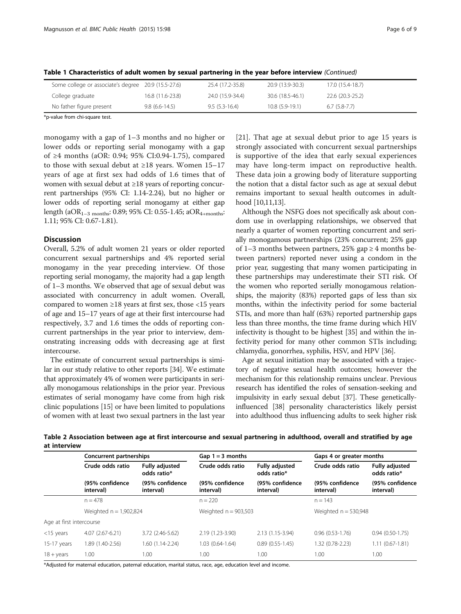| Some college or associate's degree 20.9 (15.5-27.6) |                  | 25.4 (17.2-35.8) | 20.9 (13.9-30.3) | 17.0 (15.4-18.7) |
|-----------------------------------------------------|------------------|------------------|------------------|------------------|
| College graduate                                    | 16.8 (11.6-23.8) | 24.0 (15.9-34.4) | 30.6 (18.5-46.1) | 22.6 (20.3-25.2) |
| No father figure present                            | $9.8(6.6-14.5)$  | $9.5(5.3-16.4)$  | $10.8(5.9-19.1)$ | $6.7(5.8-7.7)$   |

<span id="page-6-0"></span>Table 1 Characteristics of adult women by sexual partnering in the year before interview (Continued)

\*p-value from chi-square test.

monogamy with a gap of 1–3 months and no higher or lower odds or reporting serial monogamy with a gap of ≥4 months (aOR: 0.94; 95% CI:0.94-1.75), compared to those with sexual debut at  $\geq 18$  years. Women 15–17 years of age at first sex had odds of 1.6 times that of women with sexual debut at ≥18 years of reporting concurrent partnerships (95% CI: 1.14-2.24), but no higher or lower odds of reporting serial monogamy at either gap length (aOR<sub>1-3</sub> months: 0.89; 95% CI: 0.55-1.45; aOR<sub>4+months</sub>: 1.11; 95% CI: 0.67-1.81).

## **Discussion**

Overall, 5.2% of adult women 21 years or older reported concurrent sexual partnerships and 4% reported serial monogamy in the year preceding interview. Of those reporting serial monogamy, the majority had a gap length of 1–3 months. We observed that age of sexual debut was associated with concurrency in adult women. Overall, compared to women  $\geq 18$  years at first sex, those <15 years of age and 15–17 years of age at their first intercourse had respectively, 3.7 and 1.6 times the odds of reporting concurrent partnerships in the year prior to interview, demonstrating increasing odds with decreasing age at first intercourse.

The estimate of concurrent sexual partnerships is similar in our study relative to other reports [[34](#page-8-0)]. We estimate that approximately 4% of women were participants in serially monogamous relationships in the prior year. Previous estimates of serial monogamy have come from high risk clinic populations [\[15\]](#page-8-0) or have been limited to populations of women with at least two sexual partners in the last year [[21\]](#page-8-0). That age at sexual debut prior to age 15 years is strongly associated with concurrent sexual partnerships is supportive of the idea that early sexual experiences may have long-term impact on reproductive health. These data join a growing body of literature supporting the notion that a distal factor such as age at sexual debut remains important to sexual health outcomes in adulthood [[10](#page-8-0),[11,13\]](#page-8-0).

Although the NSFG does not specifically ask about condom use in overlapping relationships, we observed that nearly a quarter of women reporting concurrent and serially monogamous partnerships (23% concurrent; 25% gap of 1–3 months between partners, 25% gap  $\geq$  4 months between partners) reported never using a condom in the prior year, suggesting that many women participating in these partnerships may underestimate their STI risk. Of the women who reported serially monogamous relationships, the majority (83%) reported gaps of less than six months, within the infectivity period for some bacterial STIs, and more than half (63%) reported partnership gaps less than three months, the time frame during which HIV infectivity is thought to be highest [\[35\]](#page-8-0) and within the infectivity period for many other common STIs including; chlamydia, gonorrhea, syphilis, HSV, and HPV [\[36\]](#page-8-0).

Age at sexual initiation may be associated with a trajectory of negative sexual health outcomes; however the mechanism for this relationship remains unclear. Previous research has identified the roles of sensation-seeking and impulsivity in early sexual debut [\[37\]](#page-8-0). These geneticallyinfluenced [\[38\]](#page-8-0) personality characteristics likely persist into adulthood thus influencing adults to seek higher risk

| Table 2 Association between age at first intercourse and sexual partnering in adulthood, overall and stratified by age |  |  |  |  |
|------------------------------------------------------------------------------------------------------------------------|--|--|--|--|
| at interview                                                                                                           |  |  |  |  |

|                          | Concurrent partnerships                          |                                      | Gap $1 = 3$ months                               |                                                                      | Gaps 4 or greater months     |                                                                      |  |
|--------------------------|--------------------------------------------------|--------------------------------------|--------------------------------------------------|----------------------------------------------------------------------|------------------------------|----------------------------------------------------------------------|--|
|                          | Crude odds ratio<br>(95% confidence<br>interval) | <b>Fully adjusted</b><br>odds ratio* | Crude odds ratio<br>(95% confidence<br>interval) | <b>Fully adjusted</b><br>odds ratio*<br>(95% confidence<br>interval) | Crude odds ratio             | <b>Fully adjusted</b><br>odds ratio*<br>(95% confidence<br>interval) |  |
|                          |                                                  | (95% confidence<br>interval)         |                                                  |                                                                      | (95% confidence<br>interval) |                                                                      |  |
|                          | $n = 478$                                        |                                      | $n = 220$                                        |                                                                      | $n = 143$                    |                                                                      |  |
|                          | Weighted $n = 1,902,824$                         |                                      | Weighted $n = 903,503$                           |                                                                      | Weighted $n = 530,948$       |                                                                      |  |
| Age at first intercourse |                                                  |                                      |                                                  |                                                                      |                              |                                                                      |  |
| $<$ 15 years             | 4.07 (2.67-6.21)                                 | 3.72 (2.46-5.62)                     | 2.19 (1.23-3.90)                                 | 2.13 (1.15-3.94)                                                     | $0.96(0.53-1.76)$            | $0.94(0.50-1.75)$                                                    |  |
| $15-17$ years            | 1.89 (1.40-2.56)                                 | 1.60 (1.14-2.24)                     | $1.03(0.64-1.64)$                                | $0.89(0.55-1.45)$                                                    | 1.32 (0.78-2.23)             | $1.11(0.67 - 1.81)$                                                  |  |
| $18 + \gamma$ ears       | 1.00                                             | 1.00                                 | 1.00                                             | 1.00                                                                 | 1.00                         | 1.00                                                                 |  |

\*Adjusted for maternal education, paternal education, marital status, race, age, education level and income.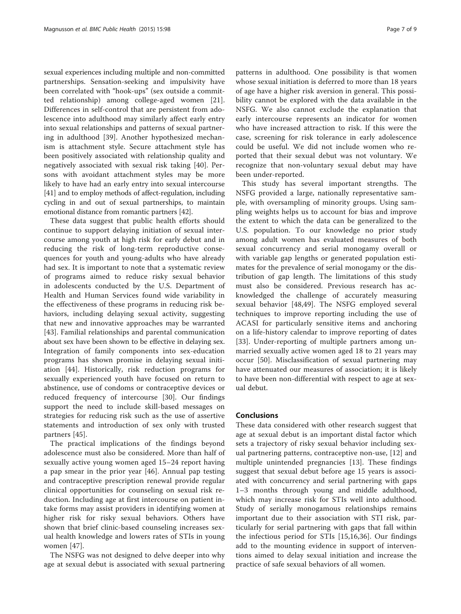sexual experiences including multiple and non-committed partnerships. Sensation-seeking and impulsivity have been correlated with "hook-ups" (sex outside a committed relationship) among college-aged women [\[21](#page-8-0)]. Differences in self-control that are persistent from adolescence into adulthood may similarly affect early entry into sexual relationships and patterns of sexual partnering in adulthood [[39\]](#page-9-0). Another hypothesized mechanism is attachment style. Secure attachment style has been positively associated with relationship quality and negatively associated with sexual risk taking [[40\]](#page-9-0). Persons with avoidant attachment styles may be more likely to have had an early entry into sexual intercourse [[41](#page-9-0)] and to employ methods of affect-regulation, including cycling in and out of sexual partnerships, to maintain emotional distance from romantic partners [\[42](#page-9-0)].

These data suggest that public health efforts should continue to support delaying initiation of sexual intercourse among youth at high risk for early debut and in reducing the risk of long-term reproductive consequences for youth and young-adults who have already had sex. It is important to note that a systematic review of programs aimed to reduce risky sexual behavior in adolescents conducted by the U.S. Department of Health and Human Services found wide variability in the effectiveness of these programs in reducing risk behaviors, including delaying sexual activity, suggesting that new and innovative approaches may be warranted [[43\]](#page-9-0). Familial relationships and parental communication about sex have been shown to be effective in delaying sex. Integration of family components into sex-education programs has shown promise in delaying sexual initiation [\[44](#page-9-0)]. Historically, risk reduction programs for sexually experienced youth have focused on return to abstinence, use of condoms or contraceptive devices or reduced frequency of intercourse [[30\]](#page-8-0). Our findings support the need to include skill-based messages on strategies for reducing risk such as the use of assertive statements and introduction of sex only with trusted partners [\[45](#page-9-0)].

The practical implications of the findings beyond adolescence must also be considered. More than half of sexually active young women aged 15–24 report having a pap smear in the prior year [\[46](#page-9-0)]. Annual pap testing and contraceptive prescription renewal provide regular clinical opportunities for counseling on sexual risk reduction. Including age at first intercourse on patient intake forms may assist providers in identifying women at higher risk for risky sexual behaviors. Others have shown that brief clinic-based counseling increases sexual health knowledge and lowers rates of STIs in young women [\[47](#page-9-0)].

The NSFG was not designed to delve deeper into why age at sexual debut is associated with sexual partnering

patterns in adulthood. One possibility is that women whose sexual initiation is deferred to more than 18 years of age have a higher risk aversion in general. This possibility cannot be explored with the data available in the NSFG. We also cannot exclude the explanation that early intercourse represents an indicator for women who have increased attraction to risk. If this were the case, screening for risk tolerance in early adolescence could be useful. We did not include women who reported that their sexual debut was not voluntary. We recognize that non-voluntary sexual debut may have been under-reported.

This study has several important strengths. The NSFG provided a large, nationally representative sample, with oversampling of minority groups. Using sampling weights helps us to account for bias and improve the extent to which the data can be generalized to the U.S. population. To our knowledge no prior study among adult women has evaluated measures of both sexual concurrency and serial monogamy overall or with variable gap lengths or generated population estimates for the prevalence of serial monogamy or the distribution of gap length. The limitations of this study must also be considered. Previous research has acknowledged the challenge of accurately measuring sexual behavior [[48,49](#page-9-0)]. The NSFG employed several techniques to improve reporting including the use of ACASI for particularly sensitive items and anchoring on a life-history calendar to improve reporting of dates [[33\]](#page-8-0). Under-reporting of multiple partners among unmarried sexually active women aged 18 to 21 years may occur [[50](#page-9-0)]. Misclassification of sexual partnering may have attenuated our measures of association; it is likely to have been non-differential with respect to age at sexual debut.

# Conclusions

These data considered with other research suggest that age at sexual debut is an important distal factor which sets a trajectory of risky sexual behavior including sexual partnering patterns, contraceptive non-use, [[12](#page-8-0)] and multiple unintended pregnancies [[13\]](#page-8-0). These findings suggest that sexual debut before age 15 years is associated with concurrency and serial partnering with gaps 1–3 months through young and middle adulthood, which may increase risk for STIs well into adulthood. Study of serially monogamous relationships remains important due to their association with STI risk, particularly for serial partnering with gaps that fall within the infectious period for STIs [\[15,16](#page-8-0),[36\]](#page-8-0). Our findings add to the mounting evidence in support of interventions aimed to delay sexual initiation and increase the practice of safe sexual behaviors of all women.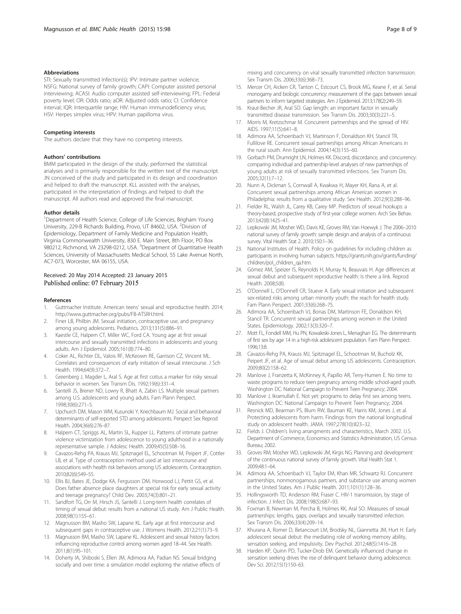#### <span id="page-8-0"></span>**Abbreviations**

STI: Sexually transmitted Infection(s); IPV: Intimate partner violence; NSFG: National survey of family growth; CAPI: Computer assisted personal interviewing; ACASI: Audio computer assisted self-interviewing; FPL: Federal poverty level; OR: Odds ratio; aOR: Adjusted odds ratio; CI: Confidence interval; IQR: Interquartile range; HIV: Human immunodeficiency virus; HSV: Herpes simplex virus; HPV: Human papilloma virus.

#### Competing interests

The authors declare that they have no competing interests.

#### Authors' contributions

BMM participated in the design of the study, performed the statistical analyses and is primarily responsible for the written text of the manuscript. JN conceived of the study and participated in its design and coordination and helped to draft the manuscript. KLL assisted with the analyses, participated in the interpretation of findings and helped to draft the manuscript. All authors read and approved the final manuscript.

#### Author details

<sup>1</sup>Department of Health Science, College of Life Sciences, Brigham Young University, 229-B Richards Building, Provo, UT 84602, USA. <sup>2</sup>Division of Epidemiology, Department of Family Medicine and Population Health, Virginia Commonwealth University, 830 E. Main Street, 8th Floor, PO Box 980212, Richmond, VA 23298-0212, USA. <sup>3</sup>Department of Quantitative Health Sciences, University of Massachusetts Medical School, 55 Lake Avenue North, AC7-073, Worcester, MA 06155, USA.

# Received: 20 May 2014 Accepted: 23 January 2015<br>Published online: 07 February 2015

#### References

- 1. Guttmacher Institute. American teens' sexual and reproductive health. 2014; <http://www.guttmacher.org/pubs/FB-ATSRH.html>.
- 2. Finer LB, Philbin JM. Sexual initiation, contraceptive use, and pregnancy among young adolescents. Pediatrics. 2013;131(5):886–91.
- 3. Kaestle CE, Halpern CT, Miller WC, Ford CA. Young age at first sexual intercourse and sexually transmitted infections in adolescents and young adults. Am J Epidemiol. 2005;161(8):774–80.
- 4. Coker AL, Richter DL, Valois RF, McKeown RE, Garrison CZ, Vincent ML. Correlates and consequences of early initiation of sexual intercourse. J Sch Health. 1994;64(9):372–7.
- 5. Greenberg J, Magder L, Aral S. Age at first coitus a marker for risky sexual behavior in women. Sex Transm Dis. 1992;19(6):331–4.
- 6. Santelli JS, Brener ND, Lowry R, Bhatt A, Zabin LS. Multiple sexual partners among U.S. adolescents and young adults. Fam Plann Perspect. 1998;30(6):271–5.
- 7. Upchurch DM, Mason WM, Kusunoki Y, Kriechbaum MJ. Social and behavioral determinants of self-reported STD among adolescents. Perspect Sex Reprod Health. 2004;36(6):276–87.
- 8. Halpern CT, Spriggs AL, Martin SL, Kupper LL. Patterns of intimate partner violence victimization from adolescence to young adulthood in a nationally representative sample. J Adolesc Health. 2009;45(5):508–16.
- 9. Cavazos-Rehg PA, Krauss MJ, Spitznagel EL, Schootman M, Peipert JF, Cottler LB, et al. Type of contraception method used at last intercourse and associations with health risk behaviors among US adolescents. Contraception. 2010;82(6):549–55.
- 10. Ellis BJ, Bates JE, Dodge KA, Fergusson DM, Horwood LJ, Pettit GS, et al. Does father absence place daughters at special risk for early sexual activity and teenage pregnancy? Child Dev. 2003;74(3):801–21.
- 11. Sandfort TG, Orr M, Hirsch JS, Santelli J. Long-term health correlates of timing of sexual debut: results from a national US study. Am J Public Health. 2008;98(1):155–61.
- 12. Magnusson BM, Masho SW, Lapane KL. Early age at first intercourse and subsequent gaps in contraceptive use. J Womens Health. 2012;21(1):73–9.
- 13. Magnusson BM, Masho SW, Lapane KL. Adolescent and sexual history factors influencing reproductive control among women aged 18–44. Sex Health. 2011;8(1):95–101.
- 14. Doherty IA, Shiboski S, Ellen JM, Adimora AA, Padian NS. Sexual bridging socially and over time: a simulation model exploring the relative effects of
- 15. Mercer CH, Aicken CR, Tanton C, Estcourt CS, Brook MG, Keane F, et al. Serial monogamy and biologic concurrency: measurement of the gaps between sexual partners to inform targeted strategies. Am J Epidemiol. 2013;178(2):249–59.
- 16. Kraut-Becher JR, Aral SO. Gap length: an important factor in sexually transmitted disease transmission. Sex Transm Dis. 2003;30(3):221–5.

Sex Transm Dis. 2006;33(6):368–73.

- 17. Morris M, Kretzschmar M. Concurrent partnerships and the spread of HIV. AIDS. 1997;11(5):641–8.
- 18. Adimora AA, Schoenbach VJ, Martinson F, Donaldson KH, Stancil TR, Fullilove RE. Concurrent sexual partnerships among African Americans in the rural south. Ann Epidemiol. 2004;14(3):155–60.
- 19. Gorbach PM, Drumright LN, Holmes KK. Discord, discordance, and concurrency: comparing individual and partnership-level analyses of new partnerships of young adults at risk of sexually transmitted infections. Sex Transm Dis. 2005;32(1):7–12.
- 20. Nunn A, Dickman S, Cornwall A, Kwakwa H, Mayer KH, Rana A, et al. Concurrent sexual partnerships among African American women in Philadelphia: results from a qualitative study. Sex Health. 2012;9(3):288–96.
- 21. Fielder RL, Walsh JL, Carey KB, Carey MP. Predictors of sexual hookups: a theory-based, prospective study of first-year college women. Arch Sex Behav. 2013;42(8):1425–41.
- 22. Lepkowski JM, Mosher WD, Davis KE, Groves RM, Van Hoewyk J. The 2006–2010 national survey of family growth: sample design and analysis of a continuous survey. Vital Health Stat 2. 2010;150:1–36.
- 23. National Institutes of Health. Policy on guidelines for including children as participants in involving human subjects. [https://grants.nih.gov/grants/funding/](https://grants.nih.gov/grants/funding/children/pol_children_qa.htm) [children/pol\\_children\\_qa.htm.](https://grants.nih.gov/grants/funding/children/pol_children_qa.htm)
- 24. Gómez AM, Speizer IS, Reynolds H, Murray N, Beauvais H. Age differences at sexual debut and subsequent reproductive health: Is there a link. Reprod Health. 2008;5(8).
- 25. O'Donnell L, O'Donnell CR, Stueve A. Early sexual initiation and subsequent sex-related risks among urban minority youth: the reach for health study. Fam Plann Perspect. 2001;33(6):268–75.
- 26. Adimora AA, Schoenbach VJ, Bonas DM, Martinson FE, Donaldson KH, Stancil TR. Concurrent sexual partnerships among women in the United States. Epidemiology. 2002;13(3):320–7.
- 27. Mott FL, Fondell MM, Hu PN, Kowaleski-Jones L, Menaghan EG. The determinants of first sex by age 14 in a high-risk adolescent population. Fam Plann Perspect. 1996;13:8.
- 28. Cavazos-Rehg PA, Krauss MJ, Spitznagel EL, Schootman M, Bucholz KK, Peipert JF, et al. Age of sexual debut among US adolescents. Contraception. 2009;80(2):158–62.
- 29. Manlove J, Franzetta K, McKinney K, Papillo AR, Terry-Humen E. No time to waste: programs to reduce teen pregnancy among middle school-aged youth. Washington DC: National Campaign to Prevent Teen Pregnancy; 2004.
- 30. Manlove J, Ikramullah E. Not yet: programs to delay first sex among teens. Washington DC: National Campaign to Prevent Teen Pregnancy; 2004.
- 31. Resnick MD, Bearman PS, Blum RW, Bauman KE, Harris KM, Jones J, et al. Protecting adolescents from harm. Findings from the national longitudinal study on adolescent health. JAMA. 1997;278(10):823–32.
- 32. Fields J. Children's living arrangments and characteristics, March 2002. U.S. Department of Commerce, Economics and Statistics Administration, US Census Bureau; 2002.
- 33. Groves RM, Mosher WD, Lepkowski JM, Kirgis NG. Planning and development of the continuous national survey of family growth. Vital Health Stat 1. 2009;48:1–64.
- 34. Adimora AA, Schoenbach VJ, Taylor EM, Khan MR, Schwartz RJ. Concurrent partnerships, nonmonogamous partners, and substance use among women in the United States. Am J Public Health. 2011;101(1):128–36.
- 35. Hollingsworth TD, Anderson RM, Fraser C. HIV-1 transmission, by stage of infection. J Infect Dis. 2008;198(5):687–93.
- 36. Foxman B, Newman M, Percha B, Holmes KK, Aral SO. Measures of sexual partnerships: lengths, gaps, overlaps and sexually transmitted infection. Sex Transm Dis. 2006;33(4):209–14.
- 37. Khurana A, Romer D, Betancourt LM, Brodsky NL, Giannetta JM, Hurt H. Early adolescent sexual debut: the mediating role of working memory ability, sensation seeking, and impulsivity. Dev Psychol. 2012;48(5):1416–28.
- 38. Harden KP, Quinn PD, Tucker-Drob EM. Genetically influenced change in sensation seeking drives the rise of delinquent behavior during adolescence. Dev Sci. 2012;15(1):150–63.